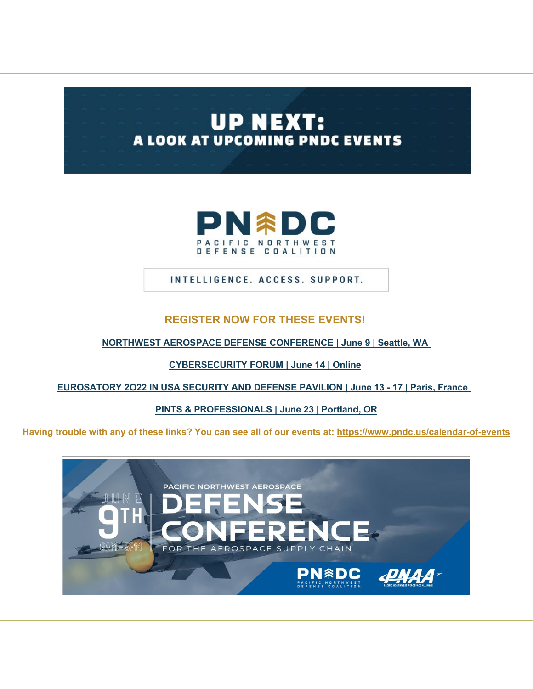# **UP NEXT:** A LOOK AT UPCOMING PNDC EVENTS



INTELLIGENCE. ACCESS. SUPPORT.

### **REGISTER NOW FOR THESE EVENTS!**

**[NORTHWEST AEROSPACE DEFENSE CONFERENCE | June 9 | Seattle, WA](http://pndc.memberclicks.net/message2/link/992abe7c-eeb9-407f-9ba0-c5cfb275ec4a/1)**

**[CYBERSECURITY FORUM | June 14 | Online](http://pndc.memberclicks.net/message2/link/992abe7c-eeb9-407f-9ba0-c5cfb275ec4a/2)**

**[EUROSATORY 2O22 IN USA SECURITY AND DEFENSE PAVILION](http://pndc.memberclicks.net/message2/link/992abe7c-eeb9-407f-9ba0-c5cfb275ec4a/3) | June 13 - 17 [| Paris, France](http://pndc.memberclicks.net/message2/link/992abe7c-eeb9-407f-9ba0-c5cfb275ec4a/3)** 

**[PINTS & PROFESSIONALS | June 23 |](http://pndc.memberclicks.net/message2/link/992abe7c-eeb9-407f-9ba0-c5cfb275ec4a/4) Portland, OR**

**Having trouble with any of these links? You can see all of our events at: [https://www.pndc.us/calendar-of-events](http://pndc.memberclicks.net/message2/link/992abe7c-eeb9-407f-9ba0-c5cfb275ec4a/5)**

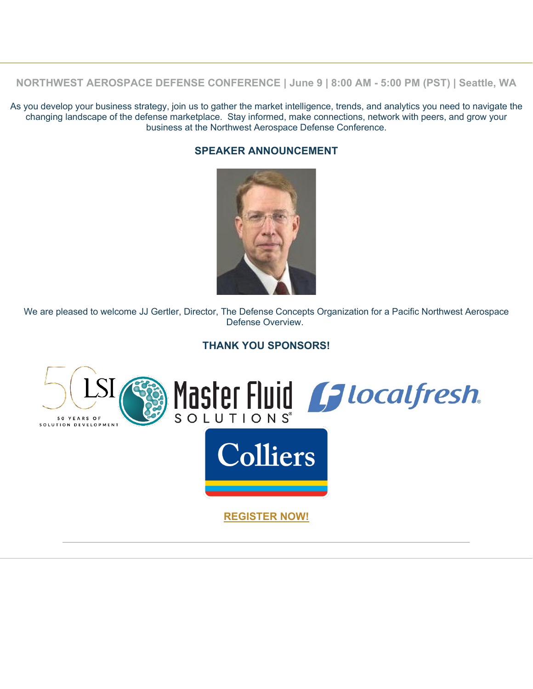**NORTHWEST AEROSPACE DEFENSE CONFERENCE | June 9 | 8:00 AM - 5:00 PM (PST) | Seattle, WA**

As you develop your business strategy, join us to gather the market intelligence, trends, and analytics you need to navigate the changing landscape of the defense marketplace. Stay informed, make connections, network with peers, and grow your business at the Northwest Aerospace Defense Conference.

#### **SPEAKER ANNOUNCEMENT**



We are pleased to welcome JJ Gertler, Director, The Defense Concepts Organization for a Pacific Northwest Aerospace Defense Overview.

#### **THANK YOU SPONSORS!**

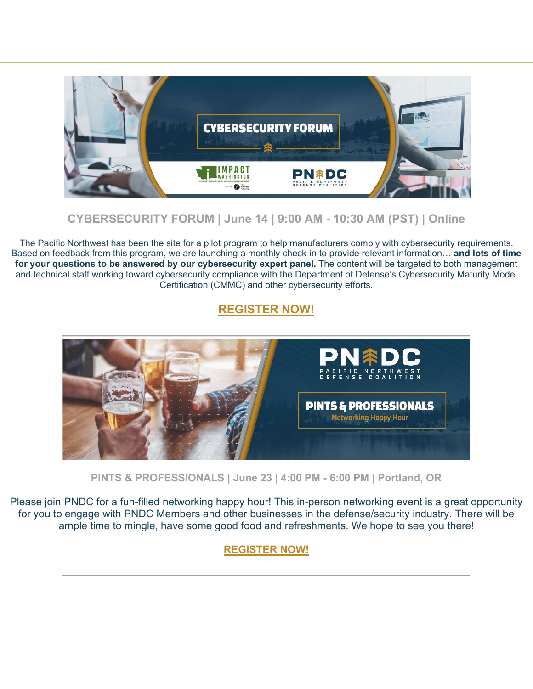

# **CYBERSECURITY FORUM | June 14 | 9:00 AM - 10:30 AM (PST) | Online**

The Pacific Northwest has been the site for a pilot program to help manufacturers comply with cybersecurity requirements. Based on feedback from this program, we are launching a monthly check-in to provide relevant information… **and lots of time for your questions to be answered by our cybersecurity expert panel.** The content will be targeted to both management and technical staff working toward cybersecurity compliance with the Department of Defense's Cybersecurity Maturity Model Certification (CMMC) and other cybersecurity efforts.

# **[REGISTER NOW!](http://pndc.memberclicks.net/message2/link/992abe7c-eeb9-407f-9ba0-c5cfb275ec4a/2)**



**PINTS & PROFESSIONALS | June 23 | 4:00 PM - 6:00 PM | Portland, OR**

Please join PNDC for a fun-filled networking happy hour! This in-person networking event is a great opportunity for you to engage with PNDC Members and other businesses in the defense/security industry. There will be ample time to mingle, have some good food and refreshments. We hope to see you there!

### **[REGISTER NOW!](http://pndc.memberclicks.net/message2/link/992abe7c-eeb9-407f-9ba0-c5cfb275ec4a/6)**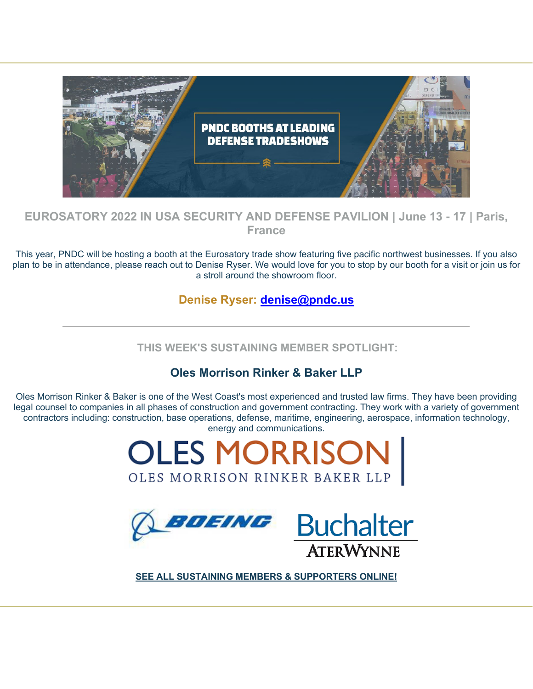

## **EUROSATORY 2022 IN USA SECURITY AND DEFENSE PAVILION | June 13 - 17 | Paris, France**

This year, PNDC will be hosting a booth at the Eurosatory trade show featuring five pacific northwest businesses. If you also plan to be in attendance, please reach out to Denise Ryser. We would love for you to stop by our booth for a visit or join us for a stroll around the showroom floor.

## **Denise Ryser: [denise@pndc.us](mailto:denise@pndc.us)**

**THIS WEEK'S SUSTAINING MEMBER SPOTLIGHT:**

# **Oles Morrison Rinker & Baker LLP**

Oles Morrison Rinker & Baker is one of the West Coast's most experienced and trusted law firms. They have been providing legal counsel to companies in all phases of construction and government contracting. They work with a variety of government contractors including: construction, base operations, defense, maritime, engineering, aerospace, information technology, [energy and communications.](http://pndc.memberclicks.net/message2/link/992abe7c-eeb9-407f-9ba0-c5cfb275ec4a/7) 





**[SEE ALL SUSTAINING MEMBERS & SUPPORTERS ONLINE!](http://pndc.memberclicks.net/message2/link/992abe7c-eeb9-407f-9ba0-c5cfb275ec4a/10)**